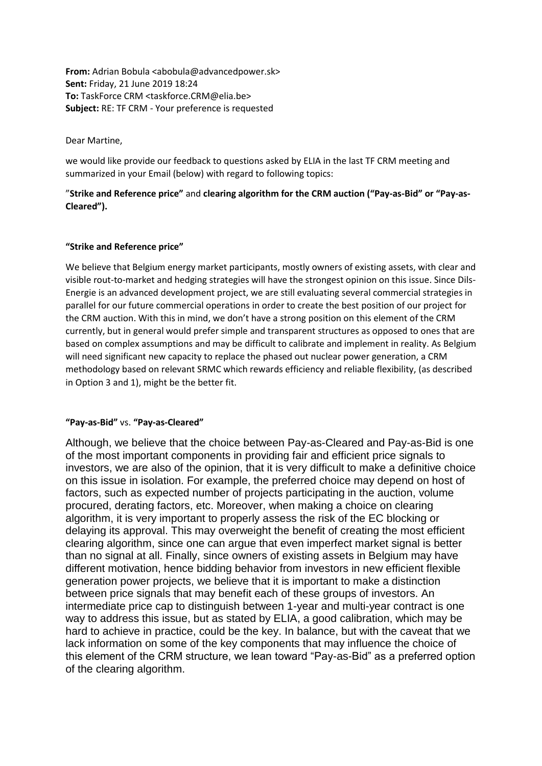**From:** Adrian Bobula <abobula@advancedpower.sk> **Sent:** Friday, 21 June 2019 18:24 **To:** TaskForce CRM <taskforce.CRM@elia.be> **Subject:** RE: TF CRM - Your preference is requested

Dear Martine,

we would like provide our feedback to questions asked by ELIA in the last TF CRM meeting and summarized in your Email (below) with regard to following topics:

"**Strike and Reference price"** and **clearing algorithm for the CRM auction ("Pay-as-Bid" or "Pay-as-Cleared").**

## **"Strike and Reference price"**

We believe that Belgium energy market participants, mostly owners of existing assets, with clear and visible rout-to-market and hedging strategies will have the strongest opinion on this issue. Since Dils-Energie is an advanced development project, we are still evaluating several commercial strategies in parallel for our future commercial operations in order to create the best position of our project for the CRM auction. With this in mind, we don't have a strong position on this element of the CRM currently, but in general would prefer simple and transparent structures as opposed to ones that are based on complex assumptions and may be difficult to calibrate and implement in reality. As Belgium will need significant new capacity to replace the phased out nuclear power generation, a CRM methodology based on relevant SRMC which rewards efficiency and reliable flexibility, (as described in Option 3 and 1), might be the better fit.

## **"Pay-as-Bid"** vs. **"Pay-as-Cleared"**

Although, we believe that the choice between Pay-as-Cleared and Pay-as-Bid is one of the most important components in providing fair and efficient price signals to investors, we are also of the opinion, that it is very difficult to make a definitive choice on this issue in isolation. For example, the preferred choice may depend on host of factors, such as expected number of projects participating in the auction, volume procured, derating factors, etc. Moreover, when making a choice on clearing algorithm, it is very important to properly assess the risk of the EC blocking or delaying its approval. This may overweight the benefit of creating the most efficient clearing algorithm, since one can argue that even imperfect market signal is better than no signal at all. Finally, since owners of existing assets in Belgium may have different motivation, hence bidding behavior from investors in new efficient flexible generation power projects, we believe that it is important to make a distinction between price signals that may benefit each of these groups of investors. An intermediate price cap to distinguish between 1-year and multi-year contract is one way to address this issue, but as stated by ELIA, a good calibration, which may be hard to achieve in practice, could be the key. In balance, but with the caveat that we lack information on some of the key components that may influence the choice of this element of the CRM structure, we lean toward "Pay-as-Bid" as a preferred option of the clearing algorithm.